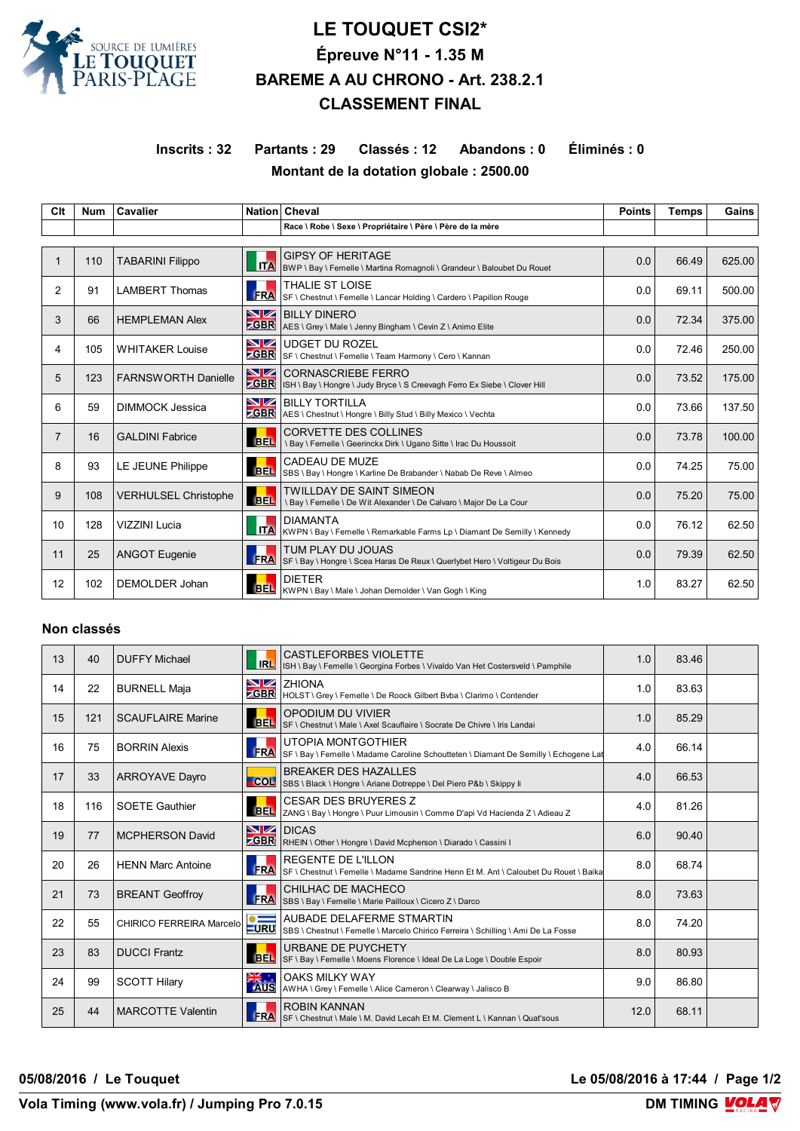

## **LE TOUQUET CSI2\* Épreuve N°11 - 1.35 M BAREME A AU CHRONO - Art. 238.2.1 CLASSEMENT FINAL**

**Inscrits : 32 Partants : 29 Classés : 12 Abandons : 0 Éliminés : 0 Montant de la dotation globale : 2500.00**

| Clt            | <b>Num</b> | <b>Cavalier</b>             |                   | Nation Cheval                                                                                          | <b>Points</b> | <b>Temps</b> | Gains  |  |
|----------------|------------|-----------------------------|-------------------|--------------------------------------------------------------------------------------------------------|---------------|--------------|--------|--|
|                |            |                             |                   | Race \ Robe \ Sexe \ Propriétaire \ Père \ Père de la mère                                             |               |              |        |  |
|                |            |                             |                   |                                                                                                        |               |              |        |  |
| $\mathbf 1$    | 110        | <b>TABARINI Filippo</b>     | <b>ITA</b>        | <b>GIPSY OF HERITAGE</b><br>BWP \ Bay \ Femelle \ Martina Romagnoli \ Grandeur \ Baloubet Du Rouet     | 0.0           | 66.49        | 625.00 |  |
| $\overline{2}$ | 91         | <b>LAMBERT Thomas</b>       | <b>FRA</b>        | <b>THALIE ST LOISE</b><br>SF \ Chestnut \ Femelle \ Lancar Holding \ Cardero \ Papillon Rouge          | 0.0           | 69.11        | 500.00 |  |
| 3              | 66         | <b>HEMPLEMAN Alex</b>       | NZ<br>$E$ GBR     | <b>BILLY DINERO</b><br>AES \ Grey \ Male \ Jenny Bingham \ Cevin Z \ Animo Elite                       | 0.0           | 72.34        | 375.00 |  |
| 4              | 105        | <b>WHITAKER Louise</b>      | VZ<br><b>GBR</b>  | <b>UDGET DU ROZEL</b><br>SF \ Chestnut \ Femelle \ Team Harmony \ Cero \ Kannan                        | 0.0           | 72.46        | 250.00 |  |
| 5              | 123        | <b>FARNSWORTH Danielle</b>  | NZ<br><b>CBR</b>  | <b>CORNASCRIEBE FERRO</b><br>ISH \ Bay \ Hongre \ Judy Bryce \ S Creevagh Ferro Ex Siebe \ Clover Hill | 0.0           | 73.52        | 175.00 |  |
| 6              | 59         | DIMMOCK Jessica             | VZ<br><b>ZGBR</b> | BILLY TORTILLA<br>AES \ Chestnut \ Hongre \ Billy Stud \ Billy Mexico \ Vechta                         | 0.0           | 73.66        | 137.50 |  |
| $\overline{7}$ | 16         | <b>GALDINI Fabrice</b>      | <b>BEL</b>        | <b>CORVETTE DES COLLINES</b><br>\ Bay \ Femelle \ Geerinckx Dirk \ Ugano Sitte \ Irac Du Houssoit      | 0.0           | 73.78        | 100.00 |  |
| 8              | 93         | LE JEUNE Philippe           | <b>BEL</b>        | CADEAU DE MUZE<br>SBS \ Bay \ Hongre \ Karline De Brabander \ Nabab De Reve \ Almeo                    | 0.0           | 74.25        | 75.00  |  |
| 9              | 108        | <b>VERHULSEL Christophe</b> | <b>BEL</b>        | <b>TWILLDAY DE SAINT SIMEON</b><br>\ Bay \ Femelle \ De Wit Alexander \ De Calvaro \ Major De La Cour  | 0.0           | 75.20        | 75.00  |  |
| 10             | 128        | VIZZINI Lucia               | <b>ITA</b>        | <b>DIAMANTA</b><br>KWPN \ Bay \ Femelle \ Remarkable Farms Lp \ Diamant De Semilly \ Kennedy           | 0.0           | 76.12        | 62.50  |  |
| 11             | 25         | <b>ANGOT Eugenie</b>        | <b>FRA</b>        | TUM PLAY DU JOUAS<br>SF \ Bay \ Hongre \ Scea Haras De Reux \ Querlybet Hero \ Voltigeur Du Bois       | 0.0           | 79.39        | 62.50  |  |
| 12             | 102        | <b>DEMOLDER Johan</b>       |                   | <b>DIETER</b><br>BEL   KWPN \ Bay \ Male \ Johan Demolder \ Van Gogh \ King                            | 1.0           | 83.27        | 62.50  |  |

## **Non classés**

| 13 | 40  | <b>DUFFY Michael</b>     | <b>IRL</b>     | <b>CASTLEFORBES VIOLETTE</b><br>ISH \ Bay \ Femelle \ Georgina Forbes \ Vivaldo Van Het Costersveld \ Pamphile    | 1.0  | 83.46 |  |
|----|-----|--------------------------|----------------|-------------------------------------------------------------------------------------------------------------------|------|-------|--|
| 14 | 22  | <b>BURNELL Maja</b>      |                | $N$ $Z$ $Z$ $N$ $N$ $A$<br><b>CGBR</b>   HOLST \ Grey \ Femelle \ De Roock Gilbert Bvba \ Clarimo \ Contender     | 1.0  | 83.63 |  |
| 15 | 121 | <b>SCAUFLAIRE Marine</b> |                | OPODIUM DU VIVIER<br>BEL SF \ Chestnut \ Male \ Axel Scauflaire \ Socrate De Chivre \ Iris Landai                 | 1.0  | 85.29 |  |
| 16 | 75  | <b>BORRIN Alexis</b>     | <b>FRA</b>     | UTOPIA MONTGOTHIER<br>SF \ Bay \ Femelle \ Madame Caroline Schoutteten \ Diamant De Semilly \ Echogene Lat        | 4.0  | 66.14 |  |
| 17 | 33  | <b>ARROYAVE Dayro</b>    |                | <b>BREAKER DES HAZALLES</b><br>COL SBS \ Black \ Hongre \ Ariane Dotreppe \ Del Piero P&b \ Skippy li             | 4.0  | 66.53 |  |
| 18 | 116 | <b>SOETE Gauthier</b>    |                | <b>CESAR DES BRUYERES Z</b><br>BEL  ZANG \ Bay \ Hongre \ Puur Limousin \ Comme D'api Vd Hacienda Z \ Adieau Z    | 4.0  | 81.26 |  |
| 19 | 77  | <b>MCPHERSON David</b>   | <b>GBR</b>     | <b>NZ DICAS</b><br>RHEIN \ Other \ Hongre \ David Mcpherson \ Diarado \ Cassini I                                 | 6.0  | 90.40 |  |
| 20 | 26  | <b>HENN Marc Antoine</b> | <b>FRA</b>     | <b>REGENTE DE L'ILLON</b><br>SF \ Chestnut \ Femelle \ Madame Sandrine Henn Et M. Ant \ Caloubet Du Rouet \ Baika | 8.0  | 68.74 |  |
| 21 | 73  | <b>BREANT Geoffroy</b>   | <b>FRA</b>     | CHILHAC DE MACHECO<br>SBS \ Bay \ Femelle \ Marie Pailloux \ Cicero Z \ Darco                                     | 8.0  | 73.63 |  |
| 22 | 55  | CHIRICO FERREIRA Marcelo |                | AUBADE DELAFERME STMARTIN                                                                                         | 8.0  | 74.20 |  |
| 23 | 83  | <b>DUCCI Frantz</b>      | <b>BEL</b>     | URBANE DE PUYCHETY<br>SF \ Bay \ Femelle \ Moens Florence \ Ideal De La Loge \ Double Espoir                      | 8.0  | 80.93 |  |
| 24 | 99  | <b>SCOTT Hilary</b>      | <b>EXAMPLE</b> | <b>OAKS MILKY WAY</b><br>AWHA \ Grey \ Femelle \ Alice Cameron \ Clearway \ Jalisco B                             | 9.0  | 86.80 |  |
| 25 | 44  | <b>MARCOTTE Valentin</b> | <b>FRA</b>     | <b>ROBIN KANNAN</b><br>SF \ Chestnut \ Male \ M. David Lecah Et M. Clement L \ Kannan \ Quat'sous                 | 12.0 | 68.11 |  |

**05/08/2016 / Le Touquet Le 05/08/2016 à 17:44 / Page 1/2**